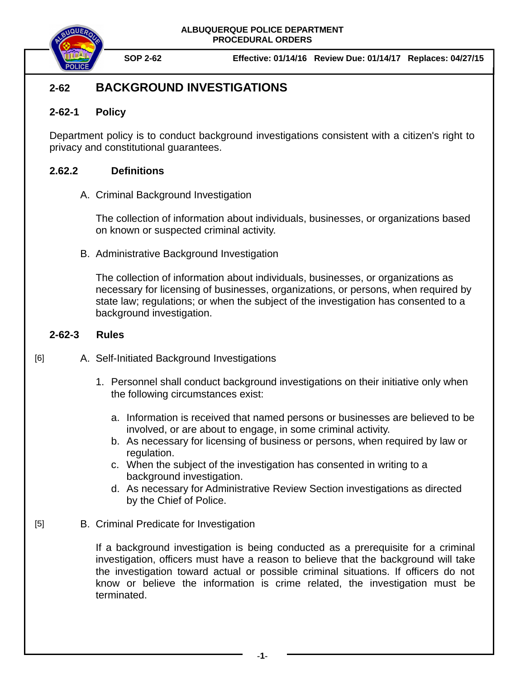

**SOP 2-62 Effective: 01/14/16 Review Due: 01/14/17 Replaces: 04/27/15**

## **2-62 BACKGROUND INVESTIGATIONS**

## **2-62-1 Policy**

Department policy is to conduct background investigations consistent with a citizen's right to privacy and constitutional guarantees.

## **2.62.2 Definitions**

A. Criminal Background Investigation

The collection of information about individuals, businesses, or organizations based on known or suspected criminal activity.

B. Administrative Background Investigation

The collection of information about individuals, businesses, or organizations as necessary for licensing of businesses, organizations, or persons, when required by state law; regulations; or when the subject of the investigation has consented to a background investigation.

## **2-62-3 Rules**

- A. Self-Initiated Background Investigations [6]
	- 1. Personnel shall conduct background investigations on their initiative only when the following circumstances exist:
		- a. Information is received that named persons or businesses are believed to be involved, or are about to engage, in some criminal activity.
		- b. As necessary for licensing of business or persons, when required by law or regulation.
		- c. When the subject of the investigation has consented in writing to a background investigation.
		- d. As necessary for Administrative Review Section investigations as directed by the Chief of Police.
- B. Criminal Predicate for Investigation [5]

If a background investigation is being conducted as a prerequisite for a criminal investigation, officers must have a reason to believe that the background will take the investigation toward actual or possible criminal situations. If officers do not know or believe the information is crime related, the investigation must be terminated.